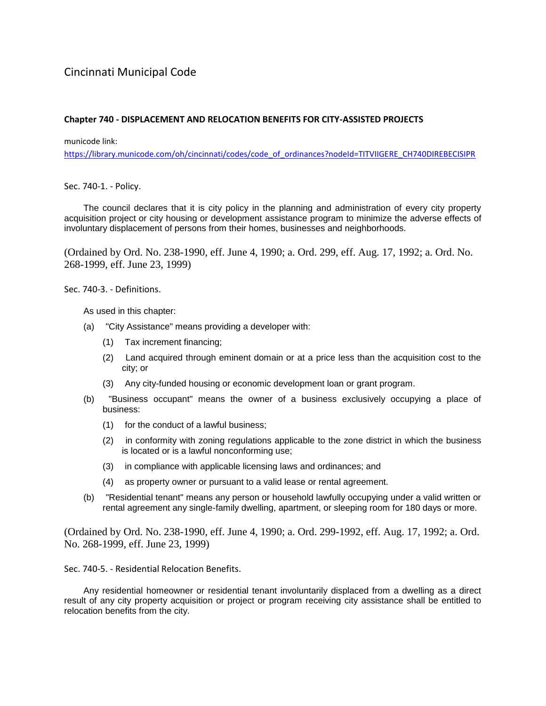## Cincinnati Municipal Code

## **Chapter 740 - DISPLACEMENT AND RELOCATION BENEFITS FOR CITY-ASSISTED PROJECTS**

municode link:

[https://library.municode.com/oh/cincinnati/codes/code\\_of\\_ordinances?nodeId=TITVIIGERE\\_CH740DIREBECISIPR](https://library.municode.com/oh/cincinnati/codes/code_of_ordinances?nodeId=TITVIIGERE_CH740DIREBECISIPR)

Sec. 740-1. - Policy.

The council declares that it is city policy in the planning and administration of every city property acquisition project or city housing or development assistance program to minimize the adverse effects of involuntary displacement of persons from their homes, businesses and neighborhoods.

(Ordained by Ord. No. 238-1990, eff. June 4, 1990; a. Ord. 299, eff. Aug. 17, 1992; a. Ord. No. 268-1999, eff. June 23, 1999)

Sec. 740-3. - Definitions.

As used in this chapter:

- (a) "City Assistance" means providing a developer with:
	- (1) Tax increment financing;
	- (2) Land acquired through eminent domain or at a price less than the acquisition cost to the city; or
	- (3) Any city-funded housing or economic development loan or grant program.
- (b) "Business occupant" means the owner of a business exclusively occupying a place of business:
	- (1) for the conduct of a lawful business;
	- (2) in conformity with zoning regulations applicable to the zone district in which the business is located or is a lawful nonconforming use;
	- (3) in compliance with applicable licensing laws and ordinances; and
	- (4) as property owner or pursuant to a valid lease or rental agreement.
- (b) "Residential tenant" means any person or household lawfully occupying under a valid written or rental agreement any single-family dwelling, apartment, or sleeping room for 180 days or more.

(Ordained by Ord. No. 238-1990, eff. June 4, 1990; a. Ord. 299-1992, eff. Aug. 17, 1992; a. Ord. No. 268-1999, eff. June 23, 1999)

Sec. 740-5. - Residential Relocation Benefits.

Any residential homeowner or residential tenant involuntarily displaced from a dwelling as a direct result of any city property acquisition or project or program receiving city assistance shall be entitled to relocation benefits from the city.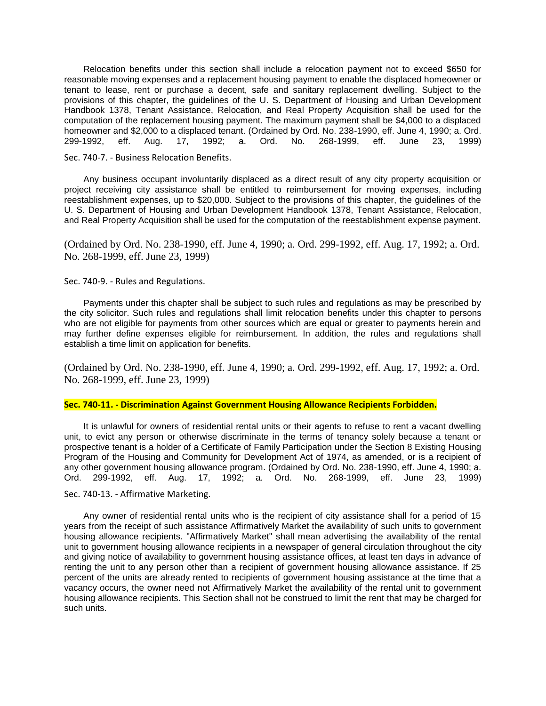Relocation benefits under this section shall include a relocation payment not to exceed \$650 for reasonable moving expenses and a replacement housing payment to enable the displaced homeowner or tenant to lease, rent or purchase a decent, safe and sanitary replacement dwelling. Subject to the provisions of this chapter, the guidelines of the U. S. Department of Housing and Urban Development Handbook 1378, Tenant Assistance, Relocation, and Real Property Acquisition shall be used for the computation of the replacement housing payment. The maximum payment shall be \$4,000 to a displaced homeowner and \$2,000 to a displaced tenant. (Ordained by Ord. No. 238-1990, eff. June 4, 1990; a. Ord.<br>299-1992, eff. Aug. 17, 1992; a. Ord. No. 268-1999, eff. June 23, 1999) 299-1992, eff. Aug. 17, 1992; a. Ord. No. 268-1999, eff. June 23, 1999)

Sec. 740-7. - Business Relocation Benefits.

Any business occupant involuntarily displaced as a direct result of any city property acquisition or project receiving city assistance shall be entitled to reimbursement for moving expenses, including reestablishment expenses, up to \$20,000. Subject to the provisions of this chapter, the guidelines of the U. S. Department of Housing and Urban Development Handbook 1378, Tenant Assistance, Relocation, and Real Property Acquisition shall be used for the computation of the reestablishment expense payment.

(Ordained by Ord. No. 238-1990, eff. June 4, 1990; a. Ord. 299-1992, eff. Aug. 17, 1992; a. Ord. No. 268-1999, eff. June 23, 1999)

Sec. 740-9. - Rules and Regulations.

Payments under this chapter shall be subject to such rules and regulations as may be prescribed by the city solicitor. Such rules and regulations shall limit relocation benefits under this chapter to persons who are not eligible for payments from other sources which are equal or greater to payments herein and may further define expenses eligible for reimbursement. In addition, the rules and regulations shall establish a time limit on application for benefits.

(Ordained by Ord. No. 238-1990, eff. June 4, 1990; a. Ord. 299-1992, eff. Aug. 17, 1992; a. Ord. No. 268-1999, eff. June 23, 1999)

## **Sec. 740-11. - Discrimination Against Government Housing Allowance Recipients Forbidden.**

It is unlawful for owners of residential rental units or their agents to refuse to rent a vacant dwelling unit, to evict any person or otherwise discriminate in the terms of tenancy solely because a tenant or prospective tenant is a holder of a Certificate of Family Participation under the Section 8 Existing Housing Program of the Housing and Community for Development Act of 1974, as amended, or is a recipient of any other government housing allowance program. (Ordained by Ord. No. 238-1990, eff. June 4, 1990; a. Ord. 299-1992, eff. Aug. 17, 1992; a. Ord. No. 268-1999, eff. June 23, 1999)

## Sec. 740-13. - Affirmative Marketing.

Any owner of residential rental units who is the recipient of city assistance shall for a period of 15 years from the receipt of such assistance Affirmatively Market the availability of such units to government housing allowance recipients. "Affirmatively Market" shall mean advertising the availability of the rental unit to government housing allowance recipients in a newspaper of general circulation throughout the city and giving notice of availability to government housing assistance offices, at least ten days in advance of renting the unit to any person other than a recipient of government housing allowance assistance. If 25 percent of the units are already rented to recipients of government housing assistance at the time that a vacancy occurs, the owner need not Affirmatively Market the availability of the rental unit to government housing allowance recipients. This Section shall not be construed to limit the rent that may be charged for such units.